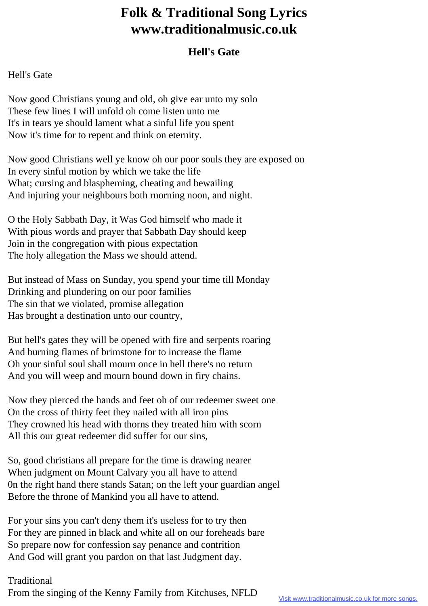## **Folk & Traditional Song Lyrics www.traditionalmusic.co.uk**

## **Hell's Gate**

## Hell's Gate

Now good Christians young and old, oh give ear unto my solo These few lines I will unfold oh come listen unto me It's in tears ye should lament what a sinful life you spent Now it's time for to repent and think on eternity.

Now good Christians well ye know oh our poor souls they are exposed on In every sinful motion by which we take the life What; cursing and blaspheming, cheating and bewailing And injuring your neighbours both rnorning noon, and night.

O the Holy Sabbath Day, it Was God himself who made it With pious words and prayer that Sabbath Day should keep Join in the congregation with pious expectation The holy allegation the Mass we should attend.

But instead of Mass on Sunday, you spend your time till Monday Drinking and plundering on our poor families The sin that we violated, promise allegation Has brought a destination unto our country,

But hell's gates they will be opened with fire and serpents roaring And burning flames of brimstone for to increase the flame Oh your sinful soul shall mourn once in hell there's no return And you will weep and mourn bound down in firy chains.

Now they pierced the hands and feet oh of our redeemer sweet one On the cross of thirty feet they nailed with all iron pins They crowned his head with thorns they treated him with scorn All this our great redeemer did suffer for our sins,

So, good christians all prepare for the time is drawing nearer When judgment on Mount Calvary you all have to attend 0n the right hand there stands Satan; on the left your guardian angel Before the throne of Mankind you all have to attend.

For your sins you can't deny them it's useless for to try then For they are pinned in black and white all on our foreheads bare So prepare now for confession say penance and contrition And God will grant you pardon on that last Judgment day.

Traditional From the singing of the Kenny Family from Kitchuses, NFLD